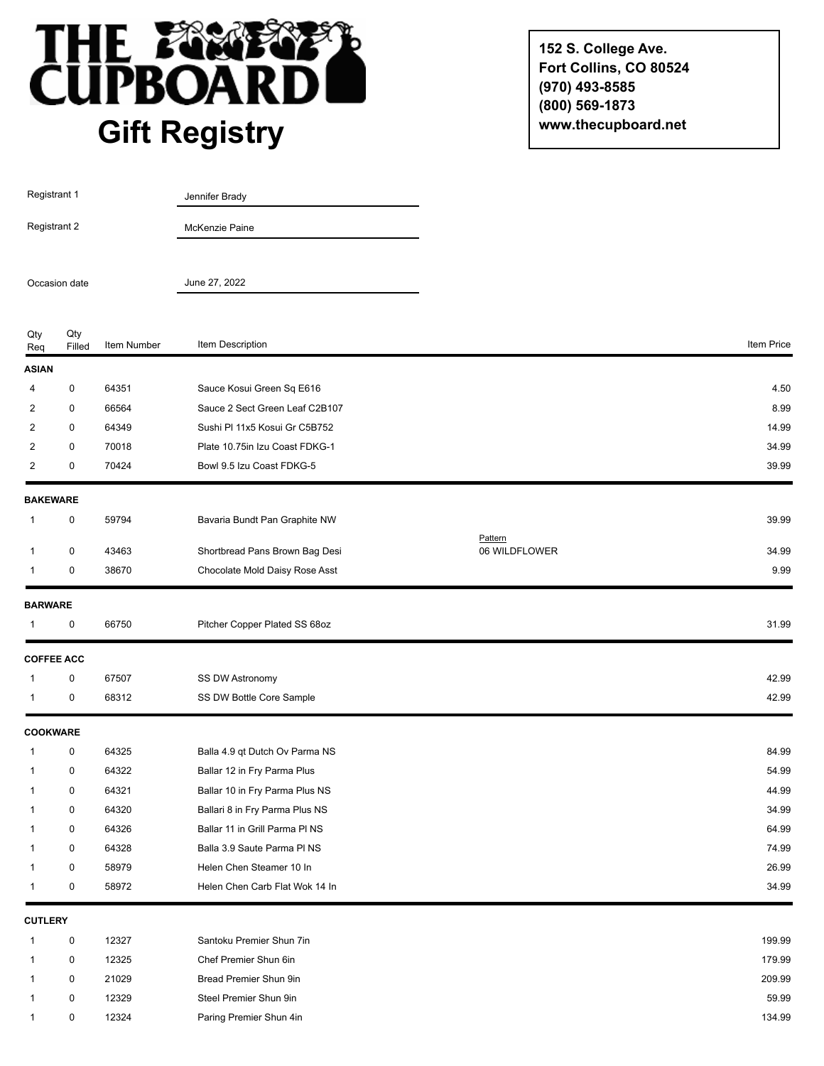

**152 S. College Ave. Fort Collins, CO 80524 (970) 493-8585 (800) 569-1873 www.thecupboard.net**

| Registrant 1<br>Registrant 2 |                   |             | Jennifer Brady                 |                          |            |
|------------------------------|-------------------|-------------|--------------------------------|--------------------------|------------|
|                              |                   |             | McKenzie Paine                 |                          |            |
| Occasion date                |                   |             | June 27, 2022                  |                          |            |
| Qty<br>Req                   | Qty<br>Filled     | Item Number | Item Description               |                          | Item Price |
| <b>ASIAN</b>                 |                   |             |                                |                          |            |
| 4                            | $\mathbf 0$       | 64351       | Sauce Kosui Green Sq E616      |                          | 4.50       |
| 2                            | $\mathbf 0$       | 66564       | Sauce 2 Sect Green Leaf C2B107 |                          | 8.99       |
| 2                            | 0                 | 64349       | Sushi PI 11x5 Kosui Gr C5B752  |                          | 14.99      |
| 2                            | 0                 | 70018       | Plate 10.75in Izu Coast FDKG-1 |                          | 34.99      |
| $\overline{2}$               | 0                 | 70424       | Bowl 9.5 Izu Coast FDKG-5      |                          | 39.99      |
| <b>BAKEWARE</b>              |                   |             |                                |                          |            |
| 1                            | 0                 | 59794       | Bavaria Bundt Pan Graphite NW  |                          | 39.99      |
| 1                            | 0                 | 43463       | Shortbread Pans Brown Bag Desi | Pattern<br>06 WILDFLOWER | 34.99      |
| 1                            | 0                 | 38670       | Chocolate Mold Daisy Rose Asst |                          | 9.99       |
|                              |                   |             |                                |                          |            |
| <b>BARWARE</b>               |                   |             |                                |                          |            |
| 1                            | $\mathbf 0$       | 66750       | Pitcher Copper Plated SS 68oz  |                          | 31.99      |
|                              | <b>COFFEE ACC</b> |             |                                |                          |            |
| 1                            | $\mathbf 0$       | 67507       | SS DW Astronomy                |                          | 42.99      |
| 1                            | 0                 | 68312       | SS DW Bottle Core Sample       |                          | 42.99      |
| <b>COOKWARE</b>              |                   |             |                                |                          |            |
| 1                            | 0                 | 64325       | Balla 4.9 qt Dutch Ov Parma NS |                          | 84.99      |
| 1                            | $\mathbf 0$       | 64322       | Ballar 12 in Fry Parma Plus    |                          | 54.99      |
|                              | 0                 | 64321       | Ballar 10 in Fry Parma Plus NS |                          | 44.99      |
|                              | $\mathbf 0$       | 64320       | Ballari 8 in Fry Parma Plus NS |                          | 34.99      |
|                              | $\boldsymbol{0}$  | 64326       | Ballar 11 in Grill Parma PI NS |                          | 64.99      |
|                              | 0                 | 64328       | Balla 3.9 Saute Parma PI NS    |                          | 74.99      |
|                              | 0                 | 58979       | Helen Chen Steamer 10 In       |                          | 26.99      |
| 1                            | 0                 | 58972       | Helen Chen Carb Flat Wok 14 In |                          | 34.99      |
| <b>CUTLERY</b>               |                   |             |                                |                          |            |
| 1                            | $\pmb{0}$         | 12327       | Santoku Premier Shun 7in       |                          | 199.99     |
| 1                            | 0                 | 12325       | Chef Premier Shun 6in          |                          | 179.99     |
|                              | 0                 | 21029       | Bread Premier Shun 9in         |                          | 209.99     |
|                              | 0                 | 12329       | Steel Premier Shun 9in         |                          | 59.99      |
|                              | $\mathsf 0$       | 12324       | Paring Premier Shun 4in        |                          | 134.99     |